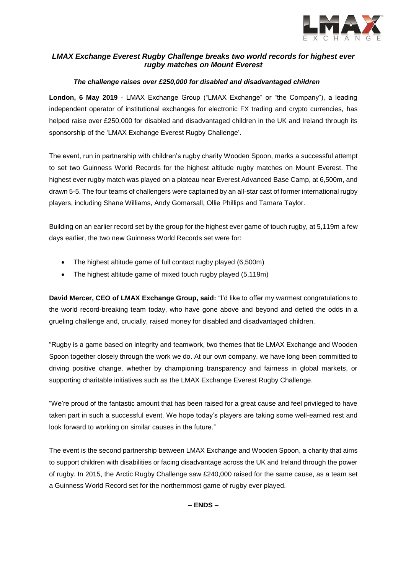

# *LMAX Exchange Everest Rugby Challenge breaks two world records for highest ever rugby matches on Mount Everest*

### *The challenge raises over £250,000 for disabled and disadvantaged children*

**London, 6 May 2019** - LMAX Exchange Group ("LMAX Exchange" or "the Company"), a leading independent operator of institutional exchanges for electronic FX trading and crypto currencies, has helped raise over £250,000 for disabled and disadvantaged children in the UK and Ireland through its sponsorship of the 'LMAX Exchange Everest Rugby Challenge'.

The event, run in partnership with children's rugby charity Wooden Spoon, marks a successful attempt to set two Guinness World Records for the highest altitude rugby matches on Mount Everest. The highest ever rugby match was played on a plateau near Everest Advanced Base Camp, at 6,500m, and drawn 5-5. The four teams of challengers were captained by an all-star cast of former international rugby players, including Shane Williams, Andy Gomarsall, Ollie Phillips and Tamara Taylor.

Building on an earlier record set by the group for the highest ever game of touch rugby, at 5,119m a few days earlier, the two new Guinness World Records set were for:

- The highest altitude game of full contact rugby played (6,500m)
- The highest altitude game of mixed touch rugby played (5,119m)

**David Mercer, CEO of LMAX Exchange Group, said:** "I'd like to offer my warmest congratulations to the world record-breaking team today, who have gone above and beyond and defied the odds in a grueling challenge and, crucially, raised money for disabled and disadvantaged children.

"Rugby is a game based on integrity and teamwork, two themes that tie LMAX Exchange and Wooden Spoon together closely through the work we do. At our own company, we have long been committed to driving positive change, whether by championing transparency and fairness in global markets, or supporting charitable initiatives such as the LMAX Exchange Everest Rugby Challenge.

"We're proud of the fantastic amount that has been raised for a great cause and feel privileged to have taken part in such a successful event. We hope today's players are taking some well-earned rest and look forward to working on similar causes in the future."

The event is the second partnership between LMAX Exchange and Wooden Spoon, a charity that aims to support children with disabilities or facing disadvantage across the UK and Ireland through the power of rugby. In 2015, the Arctic Rugby Challenge saw £240,000 raised for the same cause, as a team set a Guinness World Record set for the northernmost game of rugby ever played.

**– ENDS –**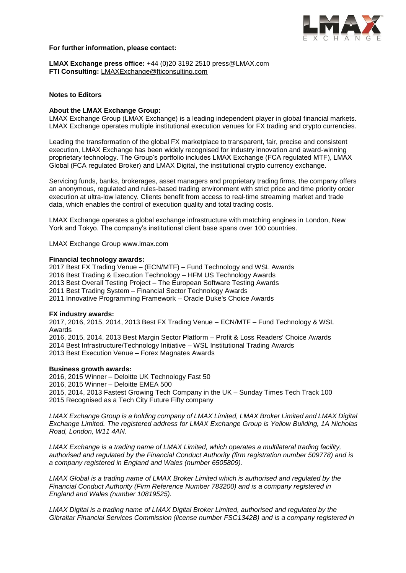

#### **For further information, please contact:**

**LMAX Exchange press office:** +44 (0)20 3192 2510 [press@LMAX.com](mailto:press@LMAX.com) **FTI Consulting:** [LMAXExchange@fticonsulting.com](mailto:LMAXExchange@fticonsulting.com)

### **Notes to Editors**

#### **About the LMAX Exchange Group:**

LMAX Exchange Group (LMAX Exchange) is a leading independent player in global financial markets. LMAX Exchange operates multiple institutional execution venues for FX trading and crypto currencies.

Leading the transformation of the global FX marketplace to transparent, fair, precise and consistent execution, LMAX Exchange has been widely recognised for industry innovation and award-winning proprietary technology. The Group's portfolio includes LMAX Exchange (FCA regulated MTF), LMAX Global (FCA regulated Broker) and LMAX Digital, the institutional crypto currency exchange.

Servicing funds, banks, brokerages, asset managers and proprietary trading firms, the company offers an anonymous, regulated and rules-based trading environment with strict price and time priority order execution at ultra-low latency. Clients benefit from access to real-time streaming market and trade data, which enables the control of execution quality and total trading costs.

LMAX Exchange operates a global exchange infrastructure with matching engines in London, New York and Tokyo. The company's institutional client base spans over 100 countries.

LMAX Exchange Group [www.lmax.com](http://www.lmax.com/)

#### **Financial technology awards:**

2017 Best FX Trading Venue – (ECN/MTF) – Fund Technology and WSL Awards 2016 Best Trading & Execution Technology – HFM US Technology Awards 2013 Best Overall Testing Project – The European Software Testing Awards 2011 Best Trading System – Financial Sector Technology Awards 2011 Innovative Programming Framework – Oracle Duke's Choice Awards

#### **FX industry awards:**

2017, 2016, 2015, 2014, 2013 Best FX Trading Venue – ECN/MTF – Fund Technology & WSL Awards 2016, 2015, 2014, 2013 Best Margin Sector Platform – Profit & Loss Readers' Choice Awards 2014 Best Infrastructure/Technology Initiative – WSL Institutional Trading Awards 2013 Best Execution Venue – Forex Magnates Awards

#### **Business growth awards:**

2016, 2015 Winner – Deloitte UK Technology Fast 50 2016, 2015 Winner – Deloitte EMEA 500 2015, 2014, 2013 Fastest Growing Tech Company in the UK – Sunday Times Tech Track 100 2015 Recognised as a Tech City Future Fifty company

*LMAX Exchange Group is a holding company of LMAX Limited, LMAX Broker Limited and LMAX Digital Exchange Limited. The registered address for LMAX Exchange Group is Yellow Building, 1A Nicholas Road, London, W11 4AN.*

*LMAX Exchange is a trading name of LMAX Limited, which operates a multilateral trading facility, authorised and regulated by the Financial Conduct Authority (firm registration number 509778) and is a company registered in England and Wales (number 6505809).* 

*LMAX Global is a trading name of LMAX Broker Limited which is authorised and regulated by the Financial Conduct Authority (Firm Reference Number 783200) and is a company registered in England and Wales (number 10819525).*

*LMAX Digital is a trading name of LMAX Digital Broker Limited, authorised and regulated by the Gibraltar Financial Services Commission (license number FSC1342B) and is a company registered in*